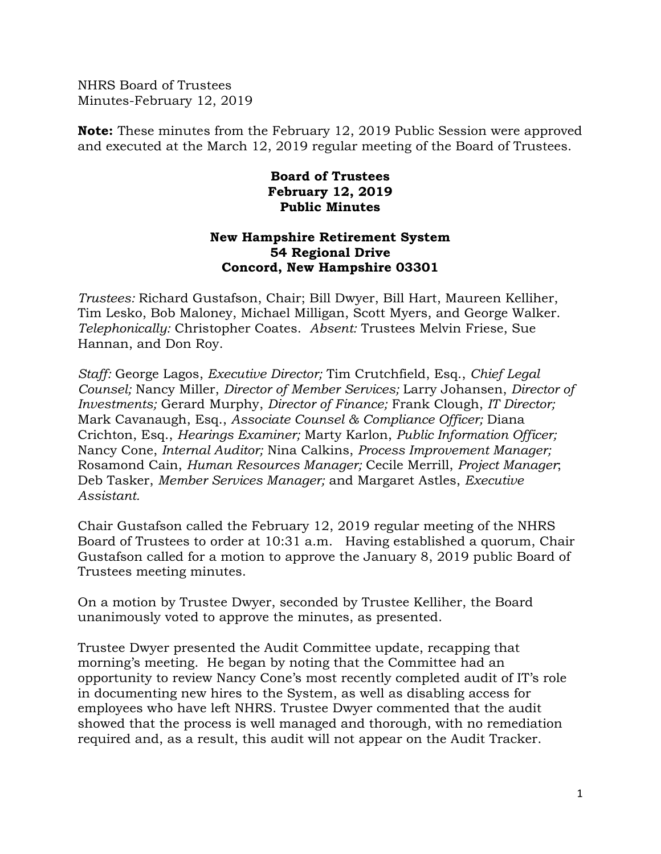NHRS Board of Trustees Minutes-February 12, 2019

**Note:** These minutes from the February 12, 2019 Public Session were approved and executed at the March 12, 2019 regular meeting of the Board of Trustees.

## **Board of Trustees February 12, 2019 Public Minutes**

## **New Hampshire Retirement System 54 Regional Drive Concord, New Hampshire 03301**

*Trustees:* Richard Gustafson, Chair; Bill Dwyer, Bill Hart, Maureen Kelliher, Tim Lesko, Bob Maloney, Michael Milligan, Scott Myers, and George Walker. *Telephonically:* Christopher Coates. *Absent:* Trustees Melvin Friese, Sue Hannan, and Don Roy.

*Staff:* George Lagos, *Executive Director;* Tim Crutchfield, Esq., *Chief Legal Counsel;* Nancy Miller, *Director of Member Services;* Larry Johansen, *Director of Investments;* Gerard Murphy, *Director of Finance;* Frank Clough, *IT Director;* Mark Cavanaugh, Esq., *Associate Counsel & Compliance Officer;* Diana Crichton, Esq., *Hearings Examiner;* Marty Karlon, *Public Information Officer;* Nancy Cone, *Internal Auditor;* Nina Calkins, *Process Improvement Manager;*  Rosamond Cain, *Human Resources Manager;* Cecile Merrill, *Project Manager*; Deb Tasker, *Member Services Manager;* and Margaret Astles, *Executive Assistant.* 

Chair Gustafson called the February 12, 2019 regular meeting of the NHRS Board of Trustees to order at 10:31 a.m. Having established a quorum, Chair Gustafson called for a motion to approve the January 8, 2019 public Board of Trustees meeting minutes.

On a motion by Trustee Dwyer, seconded by Trustee Kelliher, the Board unanimously voted to approve the minutes, as presented.

Trustee Dwyer presented the Audit Committee update, recapping that morning's meeting. He began by noting that the Committee had an opportunity to review Nancy Cone's most recently completed audit of IT's role in documenting new hires to the System, as well as disabling access for employees who have left NHRS. Trustee Dwyer commented that the audit showed that the process is well managed and thorough, with no remediation required and, as a result, this audit will not appear on the Audit Tracker.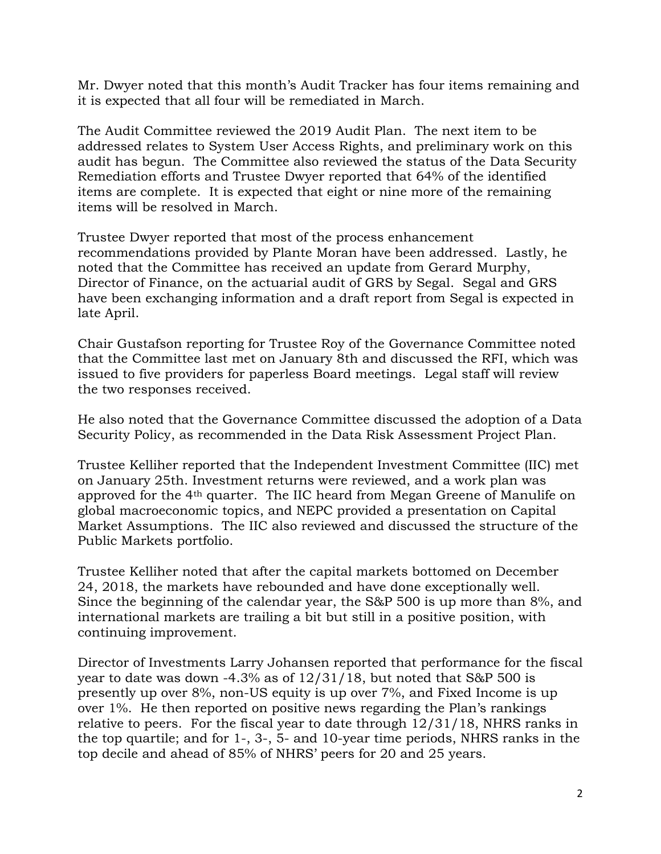Mr. Dwyer noted that this month's Audit Tracker has four items remaining and it is expected that all four will be remediated in March.

The Audit Committee reviewed the 2019 Audit Plan. The next item to be addressed relates to System User Access Rights, and preliminary work on this audit has begun. The Committee also reviewed the status of the Data Security Remediation efforts and Trustee Dwyer reported that 64% of the identified items are complete. It is expected that eight or nine more of the remaining items will be resolved in March.

Trustee Dwyer reported that most of the process enhancement recommendations provided by Plante Moran have been addressed. Lastly, he noted that the Committee has received an update from Gerard Murphy, Director of Finance, on the actuarial audit of GRS by Segal. Segal and GRS have been exchanging information and a draft report from Segal is expected in late April.

Chair Gustafson reporting for Trustee Roy of the Governance Committee noted that the Committee last met on January 8th and discussed the RFI, which was issued to five providers for paperless Board meetings. Legal staff will review the two responses received.

He also noted that the Governance Committee discussed the adoption of a Data Security Policy, as recommended in the Data Risk Assessment Project Plan.

Trustee Kelliher reported that the Independent Investment Committee (IIC) met on January 25th. Investment returns were reviewed, and a work plan was approved for the 4th quarter. The IIC heard from Megan Greene of Manulife on global macroeconomic topics, and NEPC provided a presentation on Capital Market Assumptions. The IIC also reviewed and discussed the structure of the Public Markets portfolio.

Trustee Kelliher noted that after the capital markets bottomed on December 24, 2018, the markets have rebounded and have done exceptionally well. Since the beginning of the calendar year, the S&P 500 is up more than 8%, and international markets are trailing a bit but still in a positive position, with continuing improvement.

Director of Investments Larry Johansen reported that performance for the fiscal year to date was down  $-4.3\%$  as of  $12/31/18$ , but noted that S&P 500 is presently up over 8%, non-US equity is up over 7%, and Fixed Income is up over 1%. He then reported on positive news regarding the Plan's rankings relative to peers. For the fiscal year to date through 12/31/18, NHRS ranks in the top quartile; and for 1-, 3-, 5- and 10-year time periods, NHRS ranks in the top decile and ahead of 85% of NHRS' peers for 20 and 25 years.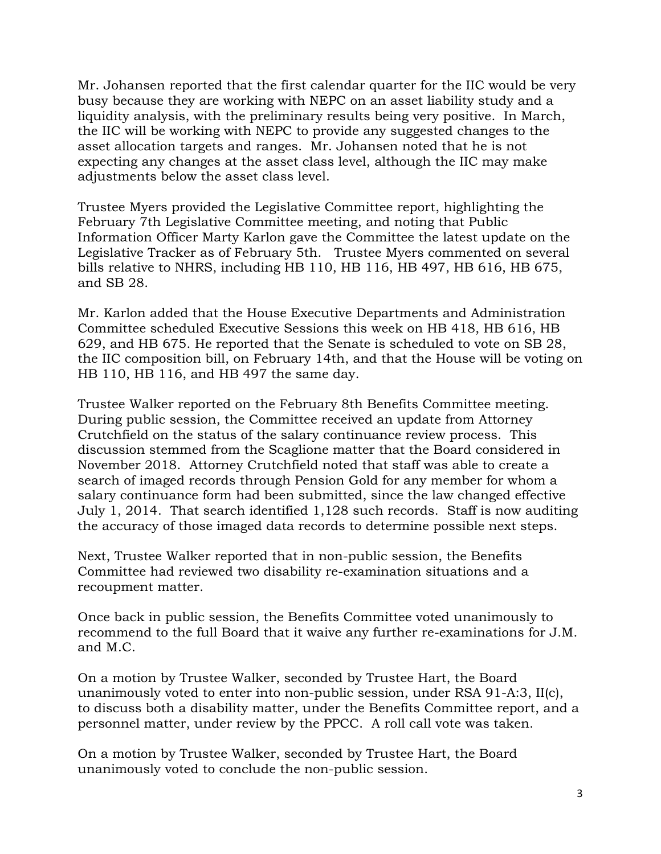Mr. Johansen reported that the first calendar quarter for the IIC would be very busy because they are working with NEPC on an asset liability study and a liquidity analysis, with the preliminary results being very positive. In March, the IIC will be working with NEPC to provide any suggested changes to the asset allocation targets and ranges. Mr. Johansen noted that he is not expecting any changes at the asset class level, although the IIC may make adjustments below the asset class level.

Trustee Myers provided the Legislative Committee report, highlighting the February 7th Legislative Committee meeting, and noting that Public Information Officer Marty Karlon gave the Committee the latest update on the Legislative Tracker as of February 5th. Trustee Myers commented on several bills relative to NHRS, including HB 110, HB 116, HB 497, HB 616, HB 675, and SB 28.

Mr. Karlon added that the House Executive Departments and Administration Committee scheduled Executive Sessions this week on HB 418, HB 616, HB 629, and HB 675. He reported that the Senate is scheduled to vote on SB 28, the IIC composition bill, on February 14th, and that the House will be voting on HB 110, HB 116, and HB 497 the same day.

Trustee Walker reported on the February 8th Benefits Committee meeting. During public session, the Committee received an update from Attorney Crutchfield on the status of the salary continuance review process. This discussion stemmed from the Scaglione matter that the Board considered in November 2018. Attorney Crutchfield noted that staff was able to create a search of imaged records through Pension Gold for any member for whom a salary continuance form had been submitted, since the law changed effective July 1, 2014. That search identified 1,128 such records. Staff is now auditing the accuracy of those imaged data records to determine possible next steps.

Next, Trustee Walker reported that in non-public session, the Benefits Committee had reviewed two disability re-examination situations and a recoupment matter.

Once back in public session, the Benefits Committee voted unanimously to recommend to the full Board that it waive any further re-examinations for J.M. and M.C.

On a motion by Trustee Walker, seconded by Trustee Hart, the Board unanimously voted to enter into non-public session, under RSA 91-A:3, II(c), to discuss both a disability matter, under the Benefits Committee report, and a personnel matter, under review by the PPCC. A roll call vote was taken.

On a motion by Trustee Walker, seconded by Trustee Hart, the Board unanimously voted to conclude the non-public session.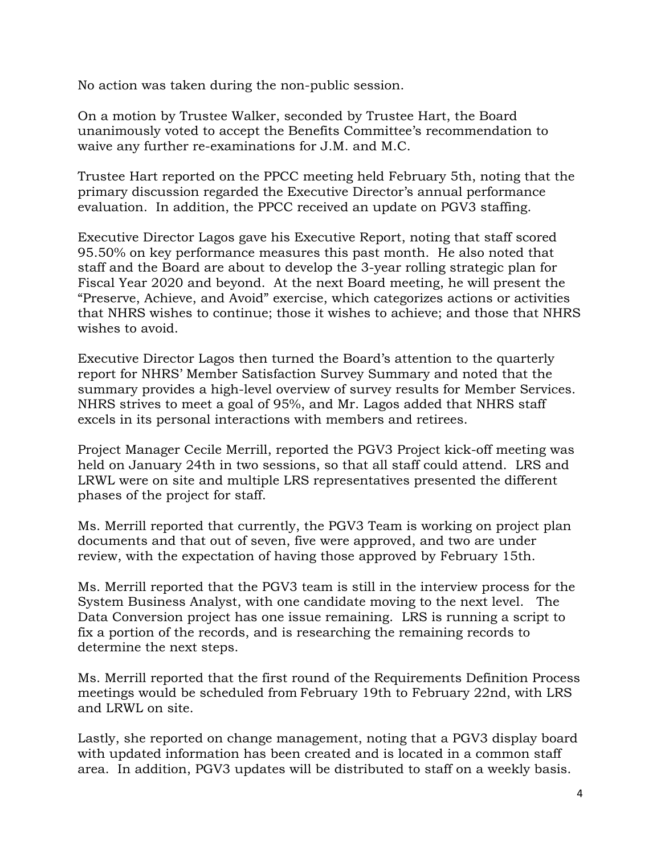No action was taken during the non-public session.

On a motion by Trustee Walker, seconded by Trustee Hart, the Board unanimously voted to accept the Benefits Committee's recommendation to waive any further re-examinations for J.M. and M.C.

Trustee Hart reported on the PPCC meeting held February 5th, noting that the primary discussion regarded the Executive Director's annual performance evaluation. In addition, the PPCC received an update on PGV3 staffing.

Executive Director Lagos gave his Executive Report, noting that staff scored 95.50% on key performance measures this past month. He also noted that staff and the Board are about to develop the 3-year rolling strategic plan for Fiscal Year 2020 and beyond. At the next Board meeting, he will present the "Preserve, Achieve, and Avoid" exercise, which categorizes actions or activities that NHRS wishes to continue; those it wishes to achieve; and those that NHRS wishes to avoid.

Executive Director Lagos then turned the Board's attention to the quarterly report for NHRS' Member Satisfaction Survey Summary and noted that the summary provides a high-level overview of survey results for Member Services. NHRS strives to meet a goal of 95%, and Mr. Lagos added that NHRS staff excels in its personal interactions with members and retirees.

Project Manager Cecile Merrill, reported the PGV3 Project kick-off meeting was held on January 24th in two sessions, so that all staff could attend. LRS and LRWL were on site and multiple LRS representatives presented the different phases of the project for staff.

Ms. Merrill reported that currently, the PGV3 Team is working on project plan documents and that out of seven, five were approved, and two are under review, with the expectation of having those approved by February 15th.

Ms. Merrill reported that the PGV3 team is still in the interview process for the System Business Analyst, with one candidate moving to the next level. The Data Conversion project has one issue remaining. LRS is running a script to fix a portion of the records, and is researching the remaining records to determine the next steps.

Ms. Merrill reported that the first round of the Requirements Definition Process meetings would be scheduled from February 19th to February 22nd, with LRS and LRWL on site.

Lastly, she reported on change management, noting that a PGV3 display board with updated information has been created and is located in a common staff area. In addition, PGV3 updates will be distributed to staff on a weekly basis.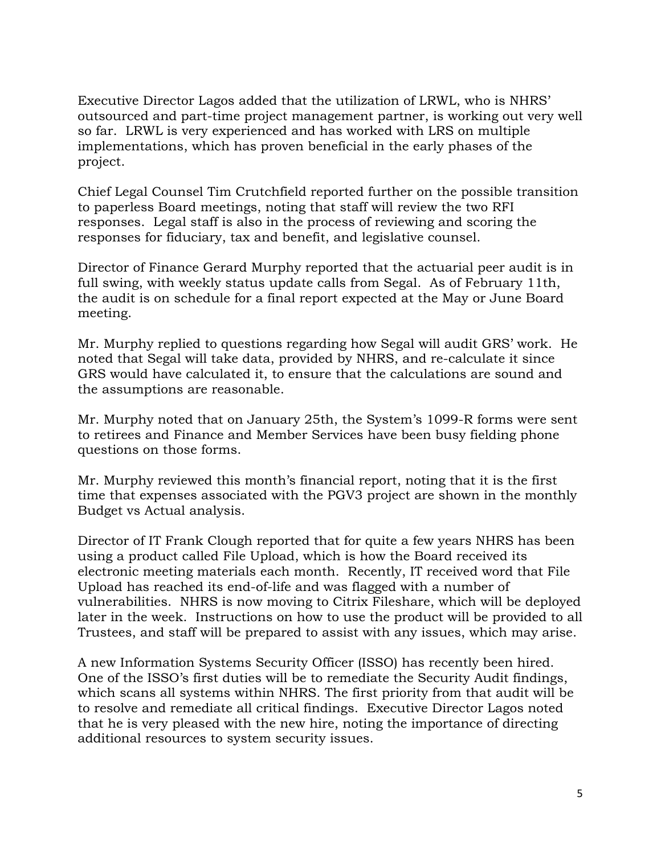Executive Director Lagos added that the utilization of LRWL, who is NHRS' outsourced and part-time project management partner, is working out very well so far. LRWL is very experienced and has worked with LRS on multiple implementations, which has proven beneficial in the early phases of the project.

Chief Legal Counsel Tim Crutchfield reported further on the possible transition to paperless Board meetings, noting that staff will review the two RFI responses. Legal staff is also in the process of reviewing and scoring the responses for fiduciary, tax and benefit, and legislative counsel.

Director of Finance Gerard Murphy reported that the actuarial peer audit is in full swing, with weekly status update calls from Segal. As of February 11th, the audit is on schedule for a final report expected at the May or June Board meeting.

Mr. Murphy replied to questions regarding how Segal will audit GRS' work. He noted that Segal will take data, provided by NHRS, and re-calculate it since GRS would have calculated it, to ensure that the calculations are sound and the assumptions are reasonable.

Mr. Murphy noted that on January 25th, the System's 1099-R forms were sent to retirees and Finance and Member Services have been busy fielding phone questions on those forms.

Mr. Murphy reviewed this month's financial report, noting that it is the first time that expenses associated with the PGV3 project are shown in the monthly Budget vs Actual analysis.

Director of IT Frank Clough reported that for quite a few years NHRS has been using a product called File Upload, which is how the Board received its electronic meeting materials each month. Recently, IT received word that File Upload has reached its end-of-life and was flagged with a number of vulnerabilities. NHRS is now moving to Citrix Fileshare, which will be deployed later in the week. Instructions on how to use the product will be provided to all Trustees, and staff will be prepared to assist with any issues, which may arise.

A new Information Systems Security Officer (ISSO) has recently been hired. One of the ISSO's first duties will be to remediate the Security Audit findings, which scans all systems within NHRS. The first priority from that audit will be to resolve and remediate all critical findings. Executive Director Lagos noted that he is very pleased with the new hire, noting the importance of directing additional resources to system security issues.